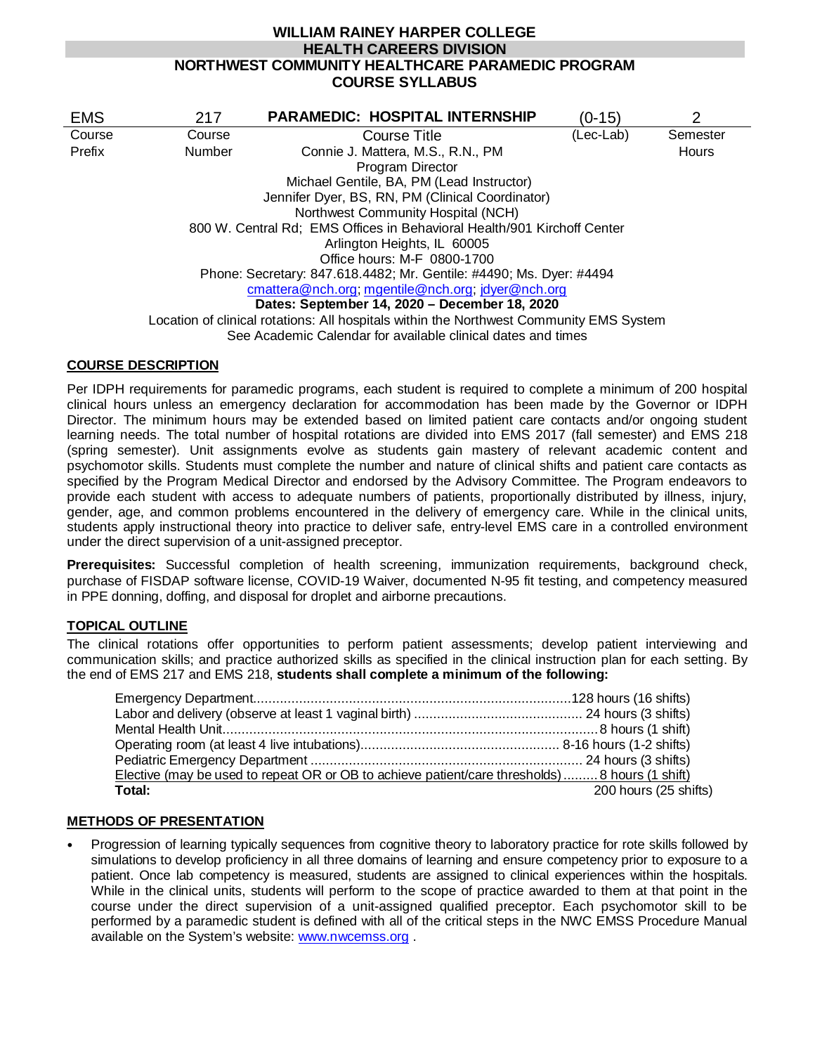# **WILLIAM RAINEY HARPER COLLEGE HEALTH CAREERS DIVISION NORTHWEST COMMUNITY HEALTHCARE PARAMEDIC PROGRAM COURSE SYLLABUS**

| <b>EMS</b> | 217                                                                     | <b>PARAMEDIC: HOSPITAL INTERNSHIP</b>                                                   | (0-15)    | $\overline{2}$ |  |
|------------|-------------------------------------------------------------------------|-----------------------------------------------------------------------------------------|-----------|----------------|--|
| Course     | Course                                                                  | <b>Course Title</b>                                                                     | (Lec-Lab) | Semester       |  |
| Prefix     | <b>Number</b>                                                           | Connie J. Mattera, M.S., R.N., PM                                                       |           | Hours          |  |
|            |                                                                         | Program Director                                                                        |           |                |  |
|            |                                                                         | Michael Gentile, BA, PM (Lead Instructor)                                               |           |                |  |
|            | Jennifer Dyer, BS, RN, PM (Clinical Coordinator)                        |                                                                                         |           |                |  |
|            | Northwest Community Hospital (NCH)                                      |                                                                                         |           |                |  |
|            | 800 W. Central Rd; EMS Offices in Behavioral Health/901 Kirchoff Center |                                                                                         |           |                |  |
|            | Arlington Heights, IL 60005                                             |                                                                                         |           |                |  |
|            |                                                                         | Office hours: M-F 0800-1700                                                             |           |                |  |
|            | Phone: Secretary: 847.618.4482; Mr. Gentile: #4490; Ms. Dyer: #4494     |                                                                                         |           |                |  |
|            | cmattera@nch.org; mgentile@nch.org; jdyer@nch.org                       |                                                                                         |           |                |  |
|            | Dates: September 14, 2020 - December 18, 2020                           |                                                                                         |           |                |  |
|            |                                                                         | Location of clinical rotations: All hospitals within the Northwest Community EMS System |           |                |  |
|            |                                                                         | See Academic Calendar for available clinical dates and times                            |           |                |  |

## **COURSE DESCRIPTION**

Per IDPH requirements for paramedic programs, each student is required to complete a minimum of 200 hospital clinical hours unless an emergency declaration for accommodation has been made by the Governor or IDPH Director. The minimum hours may be extended based on limited patient care contacts and/or ongoing student learning needs. The total number of hospital rotations are divided into EMS 2017 (fall semester) and EMS 218 (spring semester). Unit assignments evolve as students gain mastery of relevant academic content and psychomotor skills. Students must complete the number and nature of clinical shifts and patient care contacts as specified by the Program Medical Director and endorsed by the Advisory Committee. The Program endeavors to provide each student with access to adequate numbers of patients, proportionally distributed by illness, injury, gender, age, and common problems encountered in the delivery of emergency care. While in the clinical units, students apply instructional theory into practice to deliver safe, entry-level EMS care in a controlled environment under the direct supervision of a unit-assigned preceptor.

**Prerequisites:** Successful completion of health screening, immunization requirements, background check, purchase of FISDAP software license, COVID-19 Waiver, documented N-95 fit testing, and competency measured in PPE donning, doffing, and disposal for droplet and airborne precautions.

## **TOPICAL OUTLINE**

The clinical rotations offer opportunities to perform patient assessments; develop patient interviewing and communication skills; and practice authorized skills as specified in the clinical instruction plan for each setting. By the end of EMS 217 and EMS 218, **students shall complete a minimum of the following:**

| Elective (may be used to repeat OR or OB to achieve patient/care thresholds) 8 hours (1 shift) |                       |
|------------------------------------------------------------------------------------------------|-----------------------|
| Total:                                                                                         | 200 hours (25 shifts) |

## **METHODS OF PRESENTATION**

 Progression of learning typically sequences from cognitive theory to laboratory practice for rote skills followed by simulations to develop proficiency in all three domains of learning and ensure competency prior to exposure to a patient. Once lab competency is measured, students are assigned to clinical experiences within the hospitals. While in the clinical units, students will perform to the scope of practice awarded to them at that point in the course under the direct supervision of a unit-assigned qualified preceptor. Each psychomotor skill to be performed by a paramedic student is defined with all of the critical steps in the NWC EMSS Procedure Manual available on the System's website: [www.nwcemss.org](http://www.nwcemss.org/) .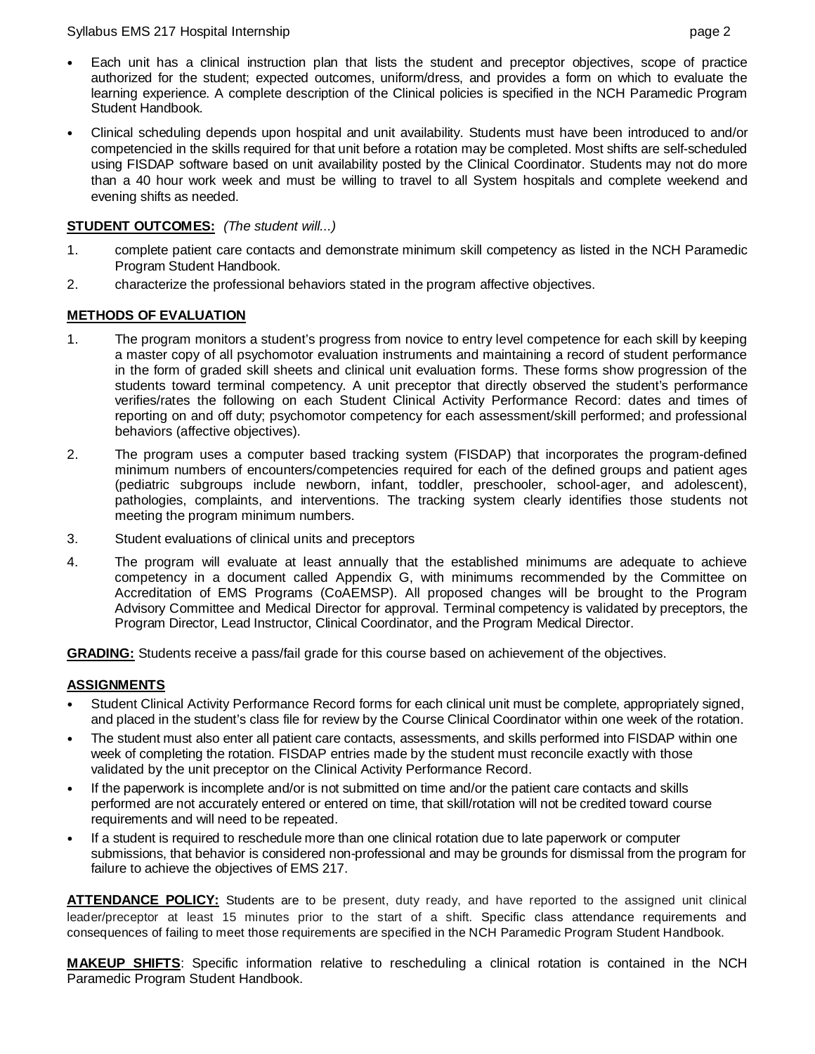#### Syllabus EMS 217 Hospital Internship page 2

- Each unit has a clinical instruction plan that lists the student and preceptor objectives, scope of practice authorized for the student; expected outcomes, uniform/dress, and provides a form on which to evaluate the learning experience. A complete description of the Clinical policies is specified in the NCH Paramedic Program Student Handbook.
- Clinical scheduling depends upon hospital and unit availability. Students must have been introduced to and/or competencied in the skills required for that unit before a rotation may be completed. Most shifts are self-scheduled using FISDAP software based on unit availability posted by the Clinical Coordinator. Students may not do more than a 40 hour work week and must be willing to travel to all System hospitals and complete weekend and evening shifts as needed.

## **STUDENT OUTCOMES:** *(The student will...)*

- 1. complete patient care contacts and demonstrate minimum skill competency as listed in the NCH Paramedic Program Student Handbook.
- 2. characterize the professional behaviors stated in the program affective objectives.

## **METHODS OF EVALUATION**

- 1. The program monitors a student's progress from novice to entry level competence for each skill by keeping a master copy of all psychomotor evaluation instruments and maintaining a record of student performance in the form of graded skill sheets and clinical unit evaluation forms. These forms show progression of the students toward terminal competency. A unit preceptor that directly observed the student's performance verifies/rates the following on each Student Clinical Activity Performance Record: dates and times of reporting on and off duty; psychomotor competency for each assessment/skill performed; and professional behaviors (affective objectives).
- 2. The program uses a computer based tracking system (FISDAP) that incorporates the program-defined minimum numbers of encounters/competencies required for each of the defined groups and patient ages (pediatric subgroups include newborn, infant, toddler, preschooler, school-ager, and adolescent), pathologies, complaints, and interventions. The tracking system clearly identifies those students not meeting the program minimum numbers.
- 3. Student evaluations of clinical units and preceptors
- 4. The program will evaluate at least annually that the established minimums are adequate to achieve competency in a document called Appendix G, with minimums recommended by the Committee on Accreditation of EMS Programs (CoAEMSP). All proposed changes will be brought to the Program Advisory Committee and Medical Director for approval. Terminal competency is validated by preceptors, the Program Director, Lead Instructor, Clinical Coordinator, and the Program Medical Director.

**GRADING:** Students receive a pass/fail grade for this course based on achievement of the objectives.

## **ASSIGNMENTS**

- Student Clinical Activity Performance Record forms for each clinical unit must be complete, appropriately signed, and placed in the student's class file for review by the Course Clinical Coordinator within one week of the rotation.
- The student must also enter all patient care contacts, assessments, and skills performed into FISDAP within one week of completing the rotation. FISDAP entries made by the student must reconcile exactly with those validated by the unit preceptor on the Clinical Activity Performance Record.
- If the paperwork is incomplete and/or is not submitted on time and/or the patient care contacts and skills performed are not accurately entered or entered on time, that skill/rotation will not be credited toward course requirements and will need to be repeated.
- If a student is required to reschedule more than one clinical rotation due to late paperwork or computer submissions, that behavior is considered non-professional and may be grounds for dismissal from the program for failure to achieve the objectives of EMS 217.

**ATTENDANCE POLICY:** Students are to be present, duty ready, and have reported to the assigned unit clinical leader/preceptor at least 15 minutes prior to the start of a shift. Specific class attendance requirements and consequences of failing to meet those requirements are specified in the NCH Paramedic Program Student Handbook.

**MAKEUP SHIFTS**: Specific information relative to rescheduling a clinical rotation is contained in the NCH Paramedic Program Student Handbook.